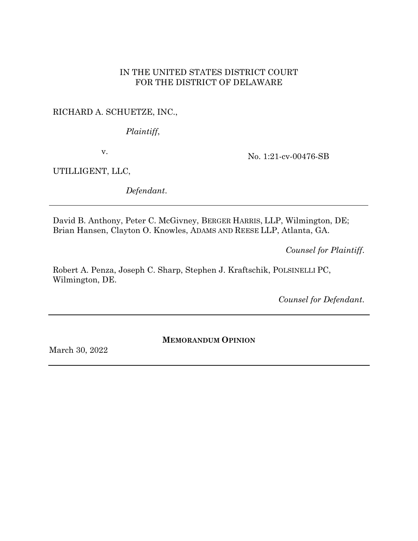# IN THE UNITED STATES DISTRICT COURT FOR THE DISTRICT OF DELAWARE

# RICHARD A. SCHUETZE, INC.,

*Plaintiff*,

v.

No. 1:21-cv-00476-SB

UTILLIGENT, LLC,

*Defendant*.

David B. Anthony, Peter C. McGivney, BERGER HARRIS, LLP, Wilmington, DE; Brian Hansen, Clayton O. Knowles, ADAMS AND REESE LLP, Atlanta, GA.

*Counsel for Plaintiff*.

Robert A. Penza, Joseph C. Sharp, Stephen J. Kraftschik, POLSINELLI PC, Wilmington, DE.

*Counsel for Defendant*.

**MEMORANDUM OPINION**

March 30, 2022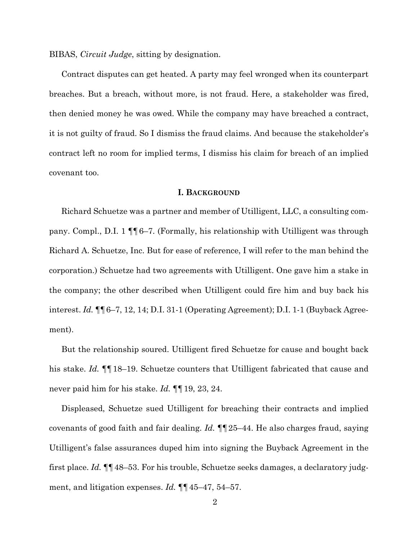BIBAS, *Circuit Judge*, sitting by designation.

Contract disputes can get heated. A party may feel wronged when its counterpart breaches. But a breach, without more, is not fraud. Here, a stakeholder was fired, then denied money he was owed. While the company may have breached a contract, it is not guilty of fraud. So I dismiss the fraud claims. And because the stakeholder's contract left no room for implied terms, I dismiss his claim for breach of an implied covenant too.

### **I. BACKGROUND**

Richard Schuetze was a partner and member of Utilligent, LLC, a consulting company. Compl., D.I. 1 ¶¶6–7. (Formally, his relationship with Utilligent was through Richard A. Schuetze, Inc. But for ease of reference, I will refer to the man behind the corporation.) Schuetze had two agreements with Utilligent. One gave him a stake in the company; the other described when Utilligent could fire him and buy back his interest. *Id.* ¶¶6–7, 12, 14; D.I. 31-1 (Operating Agreement); D.I. 1-1 (Buyback Agreement).

But the relationship soured. Utilligent fired Schuetze for cause and bought back his stake. *Id.* ¶¶18–19. Schuetze counters that Utilligent fabricated that cause and never paid him for his stake. *Id.* ¶¶19, 23, 24.

Displeased, Schuetze sued Utilligent for breaching their contracts and implied covenants of good faith and fair dealing. *Id.* ¶¶25–44. He also charges fraud, saying Utilligent's false assurances duped him into signing the Buyback Agreement in the first place. *Id.* ¶¶48–53. For his trouble, Schuetze seeks damages, a declaratory judgment, and litigation expenses. *Id.* ¶¶45–47, 54–57.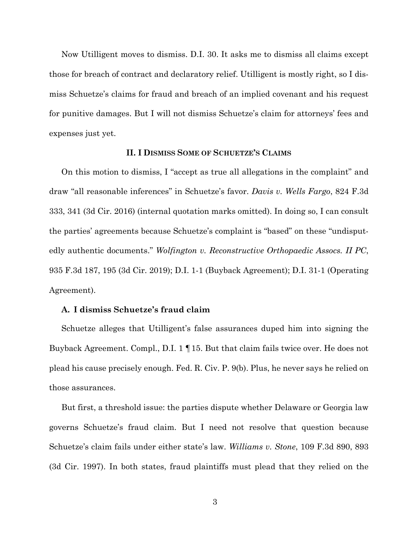Now Utilligent moves to dismiss. D.I. 30. It asks me to dismiss all claims except those for breach of contract and declaratory relief. Utilligent is mostly right, so I dismiss Schuetze's claims for fraud and breach of an implied covenant and his request for punitive damages. But I will not dismiss Schuetze's claim for attorneys' fees and expenses just yet.

## **II. I DISMISS SOME OF SCHUETZE'S CLAIMS**

On this motion to dismiss, I "accept as true all allegations in the complaint" and draw "all reasonable inferences" in Schuetze's favor. *Davis v. Wells Fargo*, 824 F.3d 333, 341 (3d Cir. 2016) (internal quotation marks omitted). In doing so, I can consult the parties' agreements because Schuetze's complaint is "based" on these "undisputedly authentic documents." *Wolfington v. Reconstructive Orthopaedic Assocs. II PC*, 935 F.3d 187, 195 (3d Cir. 2019); D.I. 1-1 (Buyback Agreement); D.I. 31-1 (Operating Agreement).

## **A. I dismiss Schuetze's fraud claim**

Schuetze alleges that Utilligent's false assurances duped him into signing the Buyback Agreement. Compl., D.I. 1 ¶15. But that claim fails twice over. He does not plead his cause precisely enough. Fed. R. Civ. P. 9(b). Plus, he never says he relied on those assurances.

But first, a threshold issue: the parties dispute whether Delaware or Georgia law governs Schuetze's fraud claim. But I need not resolve that question because Schuetze's claim fails under either state's law. *Williams v. Stone*, 109 F.3d 890, 893 (3d Cir. 1997). In both states, fraud plaintiffs must plead that they relied on the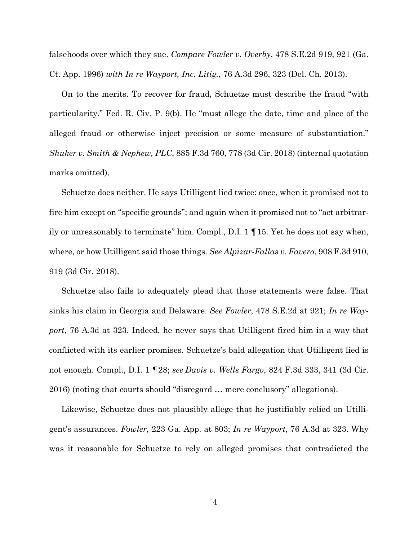falsehoods over which they sue. *Compare Fowler v. Overby*, 478 S.E.2d 919, 921 (Ga. Ct. App. 1996) *with In re Wayport, Inc. Litig.*, 76 A.3d 296, 323 (Del. Ch. 2013).

On to the merits. To recover for fraud, Schuetze must describe the fraud "with particularity." Fed. R. Civ. P. 9(b). He "must allege the date, time and place of the alleged fraud or otherwise inject precision or some measure of substantiation." *Shuker v. Smith & Nephew, PLC*, 885 F.3d 760, 778 (3d Cir. 2018) (internal quotation marks omitted).

Schuetze does neither. He says Utilligent lied twice: once, when it promised not to fire him except on "specific grounds"; and again when it promised not to "act arbitrarily or unreasonably to terminate" him. Compl., D.I. 1 ¶15. Yet he does not say when, where, or how Utilligent said those things. *See Alpizar-Fallas v. Favero*, 908 F.3d 910, 919 (3d Cir. 2018).

Schuetze also fails to adequately plead that those statements were false. That sinks his claim in Georgia and Delaware. *See Fowler*, 478 S.E.2d at 921; *In re Wayport*, 76 A.3d at 323. Indeed, he never says that Utilligent fired him in a way that conflicted with its earlier promises. Schuetze's bald allegation that Utilligent lied is not enough. Compl., D.I. 1 ¶28; *see Davis v. Wells Fargo*, 824 F.3d 333, 341 (3d Cir. 2016) (noting that courts should "disregard … mere conclusory" allegations).

Likewise, Schuetze does not plausibly allege that he justifiably relied on Utilligent's assurances. *Fowler*, 223 Ga. App. at 803; *In re Wayport*, 76 A.3d at 323. Why was it reasonable for Schuetze to rely on alleged promises that contradicted the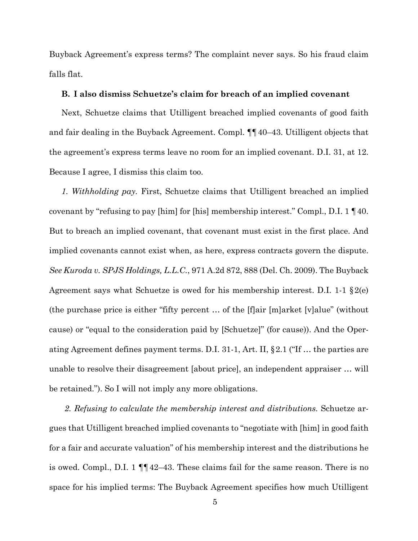Buyback Agreement's express terms? The complaint never says. So his fraud claim falls flat.

### **B. I also dismiss Schuetze's claim for breach of an implied covenant**

Next, Schuetze claims that Utilligent breached implied covenants of good faith and fair dealing in the Buyback Agreement. Compl. ¶¶40–43. Utilligent objects that the agreement's express terms leave no room for an implied covenant. D.I. 31, at 12. Because I agree, I dismiss this claim too.

*1. Withholding pay.* First, Schuetze claims that Utilligent breached an implied covenant by "refusing to pay [him] for [his] membership interest." Compl., D.I. 1 ¶40. But to breach an implied covenant, that covenant must exist in the first place. And implied covenants cannot exist when, as here, express contracts govern the dispute. *See Kuroda v. SPJS Holdings, L.L.C.*, 971 A.2d 872, 888 (Del. Ch. 2009). The Buyback Agreement says what Schuetze is owed for his membership interest. D.I. 1-1  $\S2(e)$ (the purchase price is either "fifty percent … of the [f]air [m]arket [v]alue" (without cause) or "equal to the consideration paid by [Schuetze]" (for cause)). And the Operating Agreement defines payment terms. D.I. 31-1, Art. II, §2.1 ("If … the parties are unable to resolve their disagreement [about price], an independent appraiser … will be retained."). So I will not imply any more obligations.

*2. Refusing to calculate the membership interest and distributions.* Schuetze argues that Utilligent breached implied covenants to "negotiate with [him] in good faith for a fair and accurate valuation" of his membership interest and the distributions he is owed. Compl., D.I. 1 ¶¶42–43. These claims fail for the same reason. There is no space for his implied terms: The Buyback Agreement specifies how much Utilligent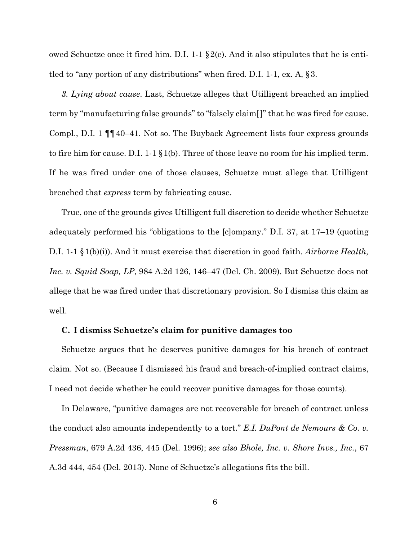owed Schuetze once it fired him. D.I. 1-1  $\S2(e)$ . And it also stipulates that he is entitled to "any portion of any distributions" when fired. D.I. 1-1, ex. A, §3.

*3. Lying about cause*. Last, Schuetze alleges that Utilligent breached an implied term by "manufacturing false grounds" to "falsely claim[]" that he was fired for cause. Compl., D.I. 1 ¶¶40–41. Not so. The Buyback Agreement lists four express grounds to fire him for cause. D.I. 1-1 §1(b). Three of those leave no room for his implied term. If he was fired under one of those clauses, Schuetze must allege that Utilligent breached that *express* term by fabricating cause.

True, one of the grounds gives Utilligent full discretion to decide whether Schuetze adequately performed his "obligations to the [c]ompany." D.I. 37, at 17–19 (quoting D.I. 1-1 §1(b)(i)). And it must exercise that discretion in good faith. *Airborne Health, Inc. v. Squid Soap, LP*, 984 A.2d 126, 146–47 (Del. Ch. 2009). But Schuetze does not allege that he was fired under that discretionary provision. So I dismiss this claim as well.

### **C. I dismiss Schuetze's claim for punitive damages too**

Schuetze argues that he deserves punitive damages for his breach of contract claim. Not so. (Because I dismissed his fraud and breach-of-implied contract claims, I need not decide whether he could recover punitive damages for those counts).

In Delaware, "punitive damages are not recoverable for breach of contract unless the conduct also amounts independently to a tort." *E.I. DuPont de Nemours & Co. v. Pressman*, 679 A.2d 436, 445 (Del. 1996); *see also Bhole, Inc. v. Shore Invs., Inc.*, 67 A.3d 444, 454 (Del. 2013). None of Schuetze's allegations fits the bill.